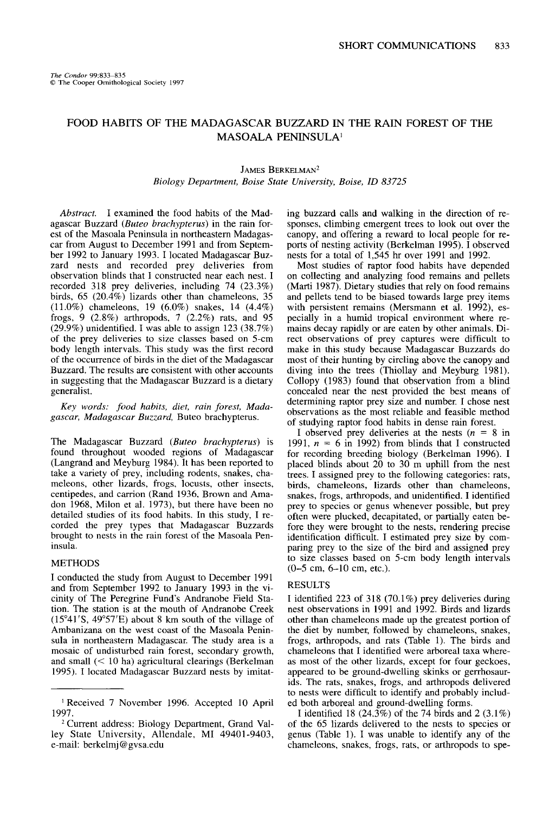# **FOOD HABITS OF THE MADAGASCAR BUZZARD IN THE RAIN FOREST OF THE MASOALA PENINSULA'**

#### JAMES BERKELMAN<sup>2</sup>

### **Biology Department, Boise State University, Boise, ID 83725**

**Abstract. I examined the food habits of the Madagascar Buzzard (Buteo brachypterus) in the rain forest of the Masoala Peninsula in northeastern Madagascar from August to December 1991 and from September 1992 to January 1993. I located Madagascar Buzzard nests and recorded prey deliveries from observation blinds that I constructed near each nest. I recorded 318 prey deliveries, including 74 (23.3%) birds, 65 (20.4%) lizards other than chameleons, 35 (11.0%) chameleons. 19 (6.0%) snakes. 14 (4.4%) frogs, 9 (2.8%) arthropods, 7 (2.2%) rats, and 95 (29.9%) unidentified. I was able to assign 123 (38.7%) of the prey deliveries to size classes based on 5-cm body length intervals. This study was the first record of the occurrence of birds in the diet of the Madagascar Buzzard. The results are consistent with other accounts in suggesting that the Madagascar Buzzard is a dietary generalist.** 

**Key words: food habits, diet, rain forest, Madagascar, Madagascar Buzzard, Buteo brachypterus.** 

**The Madagascar Buzzard (Buteo brachypterus) is found throughout wooded regions of Madagascar (Langrand and Meyburg 1984). It has been reported to take a variety of prey, including rodents, snakes, chameleons, other lizards, frogs, locusts, other insects, centipedes, and carrion (Rand 1936, Brown and Amadon 1968, Milon et al. 1973), but there have been no detailed studies of its food habits. In this study, I recorded the prey types that Madagascar Buzzards brought to nests in the rain forest of the Masoala Peninsula.** 

### **METHODS**

**I conducted the study from August to December 1991 and from September 1992 to January 1993 in the vicinity of The Peregrine Fund's Andranobe Field Station.-The station is-at the mouth of Andranobe Creek (15"41'S. 49"57'E) about 8 km south of the village of**  Ambanizana on the west coast of the Masoala Penin**sula in northeastern Madagascar. The study area is a mosaic of undisturbed rain forest, secondary growth, and small (< 10 ha) agricultural clearings (Berkelman 1995). I located Madagascar Buzzard nests by imitat-**  **ing buzzard calls and walking in the direction of responses, climbing emergent trees to look out over the canopy, and offering a reward to local people for reports of nesting activity (Berkelman 1995). I observed nests for a total of 1,545 hr over 1991 and 1992.** 

**Most studies of raptor food habits have depended on collecting and analyzing food remains and pellets (Marti 1987). Dietary studies that rely on food remains and pellets tend to be biased towards large prey items with persistent remains (Mersmann et al. 1992), especially in a humid tropical environment where remains decay rapidly or are eaten by other animals. Direct observations of prey captures were difficult to make in this study because Madagascar Buzzards do most of their hunting by circling above the canopy and**  diving into the trees (Thiollay and Meyburg 1981). Collopy (1983) found that observation from a blind **conceded near the nest provided the best means of determining raptor prey size and number. I chose nest observations as the most reliable and feasible method of studying raptor food habits in dense rain forest.** 

I observed prey deliveries at the nests  $(n = 8 \text{ in }$ 1991,  $n = 6$  in 1992) from blinds that I constructed **for recording breeding biology (Berkelman 1996). I placed blinds about 20 to 30 m uphill from the nest trees. I assigned prey to the following categories: rats, birds, chameleons, lizards other than chameleons, snakes, frogs, arthropods, and unidentified. I identified prey to species or genus whenever possible, but prey often were plucked, decapitated, or partially eaten before they were brought to the nests, rendering precise identification difficult. I estimated prey size by comparing prey to the size of the bird and assigned prey to size classes based on 5-cm body length intervals (O-5 cm, 6-10 cm, etc.).** 

#### **RESULTS**

**I identified 223 of 318 (70.1%) prey deliveries during nest observations in 1991 and 1992. Birds and lizards other than chameleons made up the greatest portion of the diet by number, followed by chameleons, snakes, frogs, arthropods, and rats (Table 1). The birds and chameleons that I identified were arboreal taxa whereas most of the other lizards, except for four geckoes, appeared to be ground-dwelling skinks or gerrhosaurids. The rats, snakes, frogs, and arthropods delivered to nests were difficult to identify and probably included both arboreal and ground-dwelling forms.** 

**I identified 18 (24.3%) of the 74 birds and 2 (3.1%) of the 65 lizards delivered to the nests to species or genus (Table 1). I was unable to identify any of the chameleons, snakes, frogs, rats, or arthropods to spe-** 

**<sup>&#</sup>x27; Received 7 November 1996. Accepted 10 April 1997.** 

<sup>&</sup>lt;sup>2</sup> Current address: Biology Department, Grand Val**ley State University, Allendale, MI 49401-9403, e-mail: berkelmj @gvsa.edu**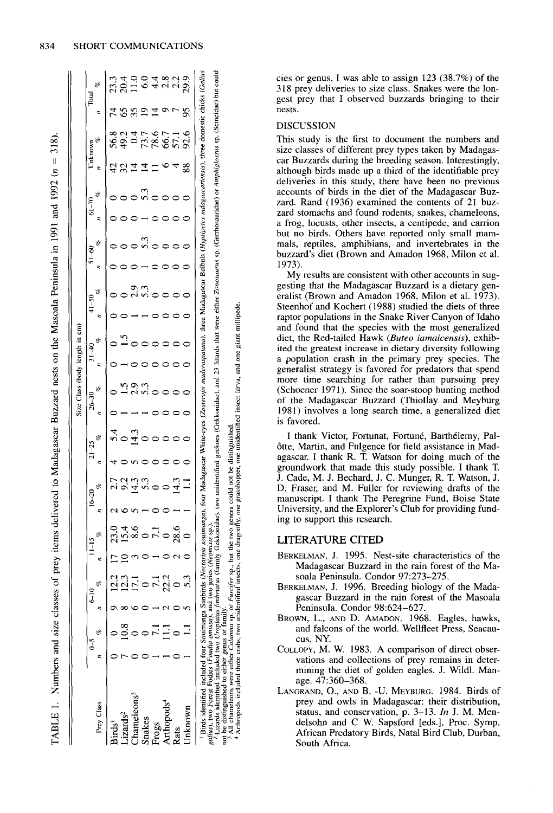|                                                                                                                                                                                                                                                                                                                                                                                                                                                          |  |               |                      |   |                                                        |   |           |   | Size Class (body length in cm) |   |           |   |           |   |           |    |           |    |                                                                                                                                                                          |   |       |
|----------------------------------------------------------------------------------------------------------------------------------------------------------------------------------------------------------------------------------------------------------------------------------------------------------------------------------------------------------------------------------------------------------------------------------------------------------|--|---------------|----------------------|---|--------------------------------------------------------|---|-----------|---|--------------------------------|---|-----------|---|-----------|---|-----------|----|-----------|----|--------------------------------------------------------------------------------------------------------------------------------------------------------------------------|---|-------|
|                                                                                                                                                                                                                                                                                                                                                                                                                                                          |  | $\frac{6}{5}$ | $\frac{1}{2}$        |   | $16 - 20$                                              |   | $21 - 25$ |   | $26 - 30$                      |   | $31 - 40$ |   | $41 - 50$ |   | $51 - 60$ |    | $61 - 70$ |    | Unknown                                                                                                                                                                  |   | Total |
| Prey Class                                                                                                                                                                                                                                                                                                                                                                                                                                               |  |               | eB                   | z | ek.                                                    | z | B,        | z | S,                             | z | ಳೆ        | z | S,        | z | ę         | ×, | e.        |    | g,                                                                                                                                                                       | z | S,    |
| Birds'                                                                                                                                                                                                                                                                                                                                                                                                                                                   |  | C             | ದ<br>ನ               |   |                                                        |   |           |   |                                |   |           |   |           |   |           |    |           |    | 56.8                                                                                                                                                                     |   |       |
| izards <sup>2</sup>                                                                                                                                                                                                                                                                                                                                                                                                                                      |  |               | <u>र्</u>            |   |                                                        |   |           |   |                                |   |           |   |           |   |           |    |           |    | 49.2                                                                                                                                                                     |   | 20.4  |
| hameleons <sup>3</sup>                                                                                                                                                                                                                                                                                                                                                                                                                                   |  |               |                      |   |                                                        |   |           |   |                                |   |           |   |           |   |           |    |           |    | $\overline{0}$                                                                                                                                                           |   |       |
| <b>Snakes</b>                                                                                                                                                                                                                                                                                                                                                                                                                                            |  |               |                      |   |                                                        |   |           |   |                                |   |           |   |           |   |           |    |           |    | 73.7                                                                                                                                                                     |   | ಸ     |
| Frogs                                                                                                                                                                                                                                                                                                                                                                                                                                                    |  |               | 11                   |   |                                                        |   |           |   |                                |   |           |   |           |   |           |    |           |    | $\frac{8}{3}$                                                                                                                                                            |   |       |
| Arthopods <sup>4</sup>                                                                                                                                                                                                                                                                                                                                                                                                                                   |  |               |                      |   |                                                        |   |           |   |                                |   |           |   |           |   |           |    |           |    | 66.7                                                                                                                                                                     |   | 2.8   |
| Rats                                                                                                                                                                                                                                                                                                                                                                                                                                                     |  |               | 28.6                 |   |                                                        |   |           |   |                                |   |           |   |           |   |           |    |           |    | 57.                                                                                                                                                                      |   | 22    |
| Jnknown                                                                                                                                                                                                                                                                                                                                                                                                                                                  |  | ٣             |                      |   |                                                        |   |           |   |                                |   |           |   |           |   |           |    |           | 88 | 92.6                                                                                                                                                                     | S | 29.9  |
| 1 Birds identified included four Souimanga Sunbirds (Nectarina souimanga), four Madagascar White-eyes (Zosterops maderaspatana), three Madagascar Bulbuls (Hypsipetes madagascariensis), three domestic chicks (Gallus<br>All chameleons were either Calumna sp. or Furcit<br>gallus), two Forest Fodies (Foudia omissa), and two j<br><sup>2</sup> Lizards identified included two Uroplatus fimbriat<br>not be distinguished to either genus or family |  |               | eries (Neomixis sp.) |   | er sp., but the two genera could not be distinguished. |   |           |   |                                |   |           |   |           |   |           |    |           |    | as (family Gekkonidae), two unidentified geckoes (Gekkonidae), and 23 lizards that were either Zonosaurus sp. (Getrhosauridae) or Amphiglossus sp. (Scincidae) but could |   |       |

TABLE 1. Numbers and size classes of prey items delivered to Madagascar Buzzard nests on the Masoala Peninsula in 1991 and 1992 ( $n = 318$ ).

**ties or genus. I was able to assign 123 (38.7%) of the 3 18 prey deliveries to size class. Snakes were the longest prey that I observed buzzards bringing to their nests.** 

### **DISCUSSION**

**This study is the first to document the numbers and size classes of different prey types taken by Madagascar Buzzards during the breeding season. Interestingly, although birds made up a third of the identifiable prey deliveries in this study, there have been no previous accounts of birds in the diet of the Madagascar Buzzard. Rand (1936) examined the contents of 21 buzzard stomachs and found rodents, snakes, chameleons, a frog, locusts, other insects, a centipede, and carrion but no birds. Others have reported only small mammals, reptiles, amphibians, and invertebrates in the buzzard 's diet (Brown and Amadon 1968, Milon et al. 1973).** 

**My results are consistent with other accounts in suggesting that the Madagascar Buzzard is a dietary generalist (Brown and Amadon 1968, Milon et al. 1973). Steenhof and Kochert (1988) studied the diets of three raptor populations in the Snake River Canyon of Idaho and found that the species with the most generalized diet, the Red-tailed Hawk (Bureo iamaicensis), exhibited the greatest increase in dietary diversity following a population crash in the primary prey species. The generalist strategy is favored for predators that spend more time searching for rather than pursuing prey (Schoener 1971). Since the soar-stoop hunting method of the Madagascar Buzzard (Thiollay and Meyburg 1981) involves a long search time, a generalized diet is favored.** 

I thank Victor, Fortunat, Fortuné, Barthélemy, Palôtte, Martin, and Fulgence for field assistance in Mad**agascar. I thank R. T Watson for doing much of the groundwork that made this study possible. I thank T J. Cade, M. J. Bechard, J. C. Munger, R. T Watson, J. D. Fraser, and M. Fuller for reviewing drafts of the manuscript. I thank The Peregrine Fund, Boise State University, and the Explorer 's Club for providing funding to support this research.** 

## **LITERATURE CITED**

- **BERKELMAN, J. 1995. Nest-site characteristics of the Madagascar Buzzard in the rain forest of the Masoala Peninsula. Condor 97:273-275.**
- **BERKELMAN, J. 1996. Breeding biology of the Madagascar Buzzard in the rain forest of the Masoala Peninsula. Condor 98:624-627.**
- **BROWN, L., AND D. AMADON. 1968. Eagles, hawks, and falcons of the world. Wellfleet Press, Seacaucus, NY.**
- **COLLOPY, M. W. 1983. A comparison of direct observations and collections of prey remains in determining the diet of golden eagles. J. Wildl. Manage. 47:360-368.**
- **LANGRAND, O., AND B. -U. MEYBURG. 1984. Birds of prey and owls in Madagascar: their distribution, status, and conservation, p. 3-13. In J. M. Mendelsohn and C W. Sapsford [eds.], Proc. Symp. African Predatory Birds, Natal Bird Club, Durban, South Africa.**